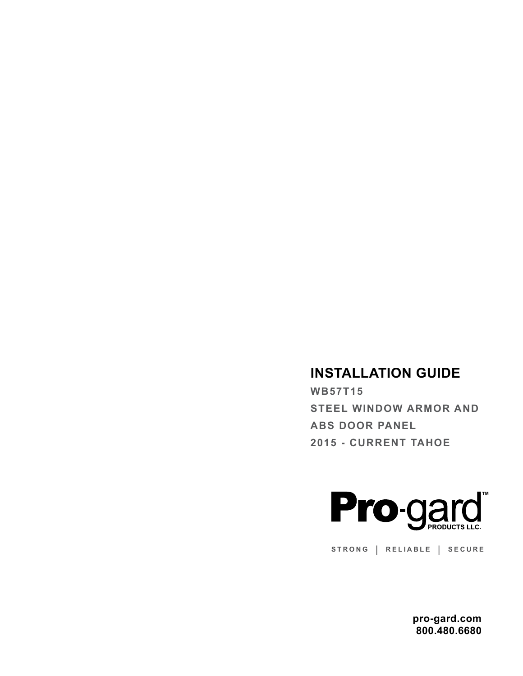# **INSTALLATION GUIDE**

**WB57T15 STEEL WINDOW ARMOR AND ABS DOOR PANEL 2015 - CURRENT TAHOE**



**STRONG | RELIABLE | SECURE**

**pro-gard.com 800.480.6680**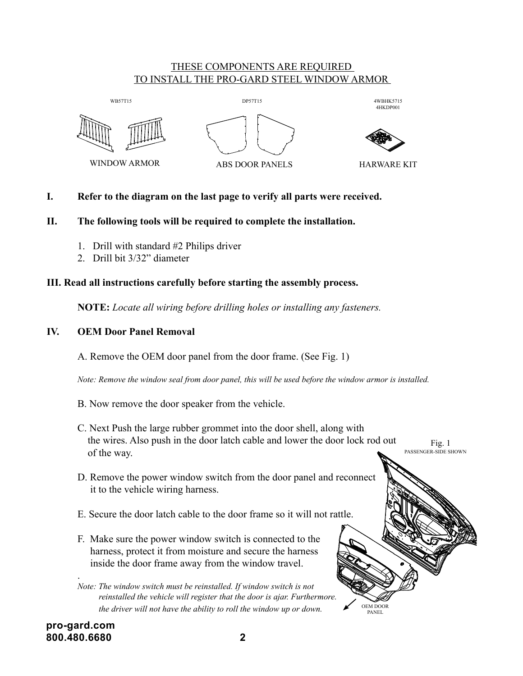## THESE COMPONENTS ARE REQUIRED <u>TO INSTALL THE PRO-GARD STEEL WINDOW ARMOR</u>



# **I. Refer to the diagram on the last page to verify all parts were received.**

# **II. The following tools will be required to complete the installation.**

- 1. Drill with standard  $#2$  Philips driver
- 2. Drill bit 3/32" diameter

#### III. Read all instructions carefully before starting the assembly process.  $\mathbf{u}_\mathbf{S}$  carefully before starting the assem

**NOTE:** Locate all wiring before drilling holes or installing any fasteners.

# **IV. OEM Door Panel Removal**

A. Remove the OEM door panel from the door frame. (See Fig. 1)

 *Note: Remove the window seal from door panel, this will be used before the window armor is installed.*

- B. Now remove the door speaker from the vehicle.
- C. Next Push the large rubber grommet into the door shell, along with the wires. Also push in the door latch cable and lower the door lock rod out of the way. Fig. 1 PASSENGER-SIDE SHOWN

OEM DOOR PANEL

- D. Remove the power window switch from the door panel and reconnect it to the vehicle wiring harness.
- E. Secure the door latch cable to the door frame so it will not rattle.
- F. Make sure the power window switch is connected to the harness, protect it from moisture and secure the harness inside the door frame away from the window travel.

 *Note: The window switch must be reinstalled. If window switch is not reinstalled the vehicle will register that the door is ajar. Furthermore. the driver will not have the ability to roll the window up or down.*

.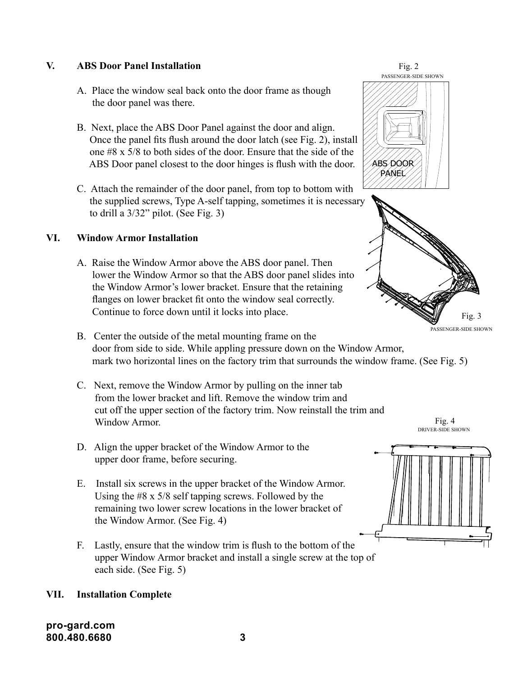## **V. ABS Door Panel Installation**

- A. Place the window seal back onto the door frame as though the door panel was there.
- B. Next, place the ABS Door Panel against the door and align. Once the panel fits flush around the door latch (see Fig. 2), install one #8 x 5/8 to both sides of the door. Ensure that the side of the ABS Door panel closest to the door hinges is flush with the door.
- C. Attach the remainder of the door panel, from top to bottom with the supplied screws, Type A-self tapping, sometimes it is necessary to drill a 3/32" pilot. (See Fig. 3)

## **VI. Window Armor Installation**

- A. Raise the Window Armor above the ABS door panel. Then lower the Window Armor so that the ABS door panel slides into the Window Armor's lower bracket. Ensure that the retaining flanges on lower bracket fit onto the window seal correctly. Continue to force down until it locks into place.
- B. Center the outside of the metal mounting frame on the door from side to side. While appling pressure down on the Window Armor, mark two horizontal lines on the factory trim that surrounds the window frame. (See Fig. 5)
- C. Next, remove the Window Armor by pulling on the inner tab from the lower bracket and lift. Remove the window trim and cut off the upper section of the factory trim. Now reinstall the trim and Window Armor.
- D. Align the upper bracket of the Window Armor to the upper door frame, before securing.
- E. Install six screws in the upper bracket of the Window Armor. Using the #8 x 5/8 self tapping screws. Followed by the remaining two lower screw locations in the lower bracket of the Window Armor. (See Fig. 4)
- F. Lastly, ensure that the window trim is flush to the bottom of the upper Window Armor bracket and install a single screw at the top of each side. (See Fig. 5)

### **VII. Installation Complete**

**pro-gard.com 800.480.6680 3**



PASSENGER-SIDE SHOWN

Fig. 3

Fig. 4 DRIVER-SIDE SHOWN